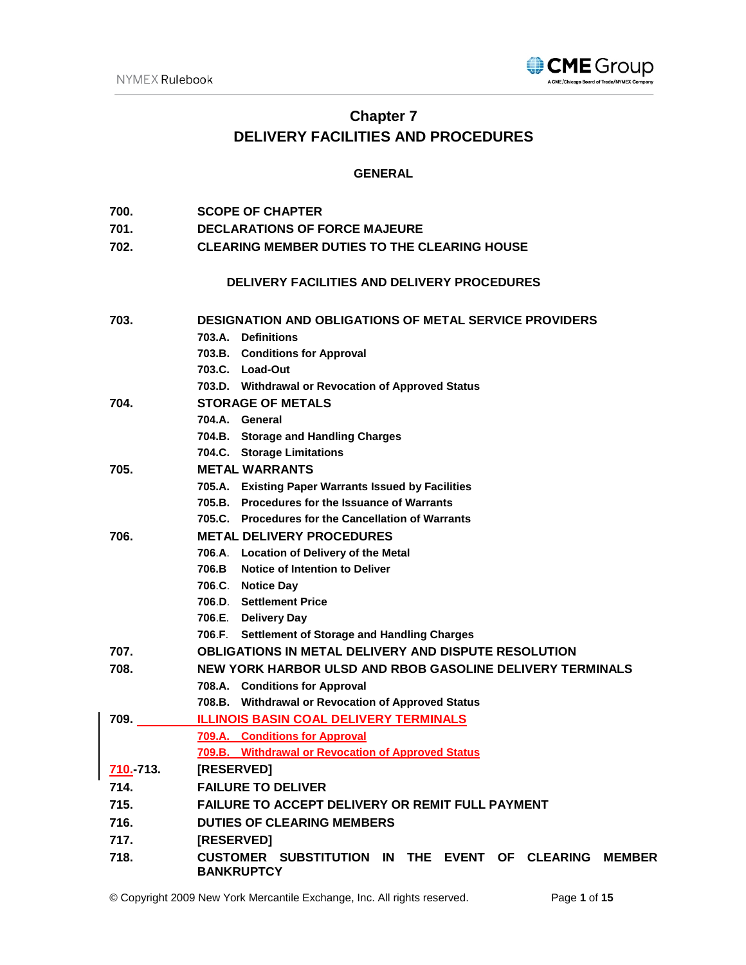

# **Chapter 7 DELIVERY FACILITIES AND PROCEDURES**

# **GENERAL**

| 700. | <b>SCOPE OF CHAPTER</b> |  |
|------|-------------------------|--|
|      |                         |  |

- **701. DECLARATIONS OF FORCE MAJEURE**
- **702. CLEARING MEMBER DUTIES TO THE CLEARING HOUSE**

# **DELIVERY FACILITIES AND DELIVERY PROCEDURES**

| 703.      | <b>DESIGNATION AND OBLIGATIONS OF METAL SERVICE PROVIDERS</b>                        |  |  |
|-----------|--------------------------------------------------------------------------------------|--|--|
|           | 703.A. Definitions                                                                   |  |  |
|           | 703.B. Conditions for Approval                                                       |  |  |
|           | 703.C. Load-Out                                                                      |  |  |
|           | 703.D. Withdrawal or Revocation of Approved Status                                   |  |  |
| 704.      | <b>STORAGE OF METALS</b>                                                             |  |  |
|           | 704.A. General                                                                       |  |  |
|           | 704.B. Storage and Handling Charges                                                  |  |  |
|           | 704.C. Storage Limitations                                                           |  |  |
| 705.      | <b>METAL WARRANTS</b>                                                                |  |  |
|           | 705.A. Existing Paper Warrants Issued by Facilities                                  |  |  |
|           | 705.B. Procedures for the Issuance of Warrants                                       |  |  |
|           | 705.C. Procedures for the Cancellation of Warrants                                   |  |  |
| 706.      | <b>METAL DELIVERY PROCEDURES</b>                                                     |  |  |
|           | 706.A. Location of Delivery of the Metal                                             |  |  |
|           | 706.B Notice of Intention to Deliver                                                 |  |  |
|           | 706.C. Notice Day                                                                    |  |  |
|           | 706.D. Settlement Price                                                              |  |  |
|           | 706.E. Delivery Day                                                                  |  |  |
|           | 706.F. Settlement of Storage and Handling Charges                                    |  |  |
| 707.      | <b>OBLIGATIONS IN METAL DELIVERY AND DISPUTE RESOLUTION</b>                          |  |  |
| 708.      | NEW YORK HARBOR ULSD AND RBOB GASOLINE DELIVERY TERMINALS                            |  |  |
|           | 708.A. Conditions for Approval                                                       |  |  |
|           | 708.B. Withdrawal or Revocation of Approved Status                                   |  |  |
| 709.      | <b>ILLINOIS BASIN COAL DELIVERY TERMINALS</b>                                        |  |  |
|           | 709.A. Conditions for Approval                                                       |  |  |
|           | 709.B. Withdrawal or Revocation of Approved Status                                   |  |  |
| 710. 713. | [RESERVED]                                                                           |  |  |
| 714.      | <b>FAILURE TO DELIVER</b>                                                            |  |  |
| 715.      | FAILURE TO ACCEPT DELIVERY OR REMIT FULL PAYMENT                                     |  |  |
| 716.      | <b>DUTIES OF CLEARING MEMBERS</b>                                                    |  |  |
| 717.      | [RESERVED]                                                                           |  |  |
| 718.      | CUSTOMER SUBSTITUTION IN THE EVENT OF CLEARING<br><b>MEMBER</b><br><b>BANKRUPTCY</b> |  |  |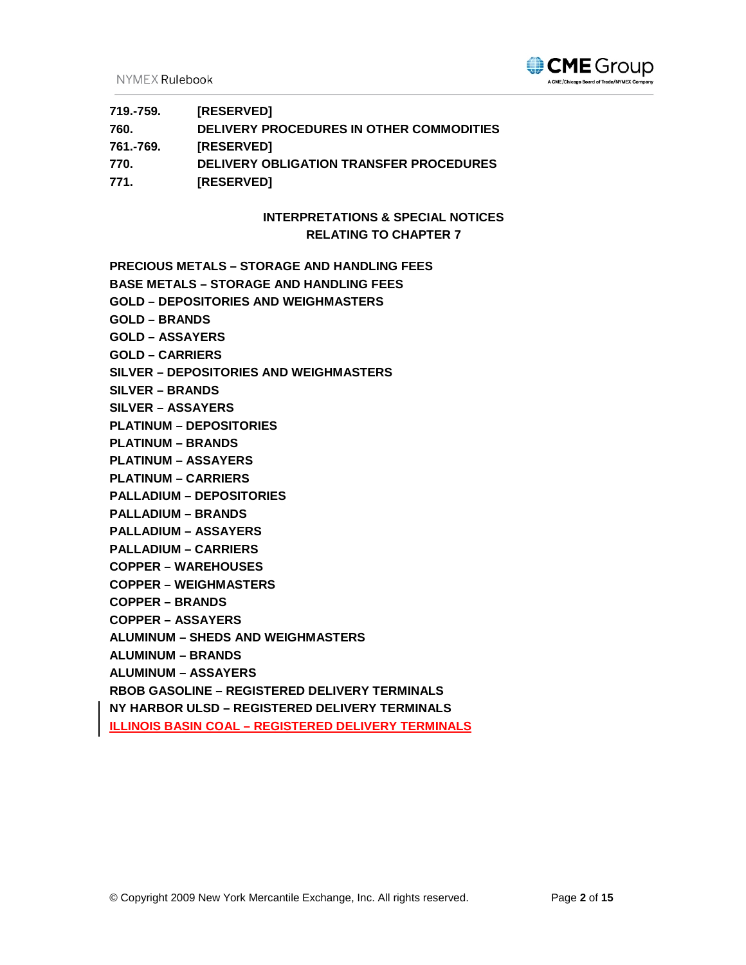NYMEX Rulebook



| 719.-759. | [RESERVED]                               |
|-----------|------------------------------------------|
| 760.      | DELIVERY PROCEDURES IN OTHER COMMODITIES |
| 761.-769. | <b>[RESERVED]</b>                        |
| 770.      | DELIVERY OBLIGATION TRANSFER PROCEDURES  |
| 771.      | [RESERVED]                               |

# **INTERPRETATIONS & SPECIAL NOTICES RELATING TO CHAPTER 7**

**PRECIOUS METALS – STORAGE AND HANDLING FEES**

- **BASE METALS – STORAGE AND HANDLING FEES**
- **GOLD – DEPOSITORIES AND WEIGHMASTERS**
- **GOLD – BRANDS**
- **GOLD – ASSAYERS**
- **GOLD – CARRIERS**
- **SILVER – DEPOSITORIES AND WEIGHMASTERS**
- **SILVER – BRANDS**
- **SILVER – ASSAYERS**
- **PLATINUM – DEPOSITORIES**
- **PLATINUM – BRANDS**
- **PLATINUM – ASSAYERS**
- **PLATINUM – CARRIERS**
- **PALLADIUM – DEPOSITORIES**
- **PALLADIUM – BRANDS**
- **PALLADIUM – ASSAYERS**
- **PALLADIUM – CARRIERS**
- **COPPER – WAREHOUSES**
- **COPPER – WEIGHMASTERS**
- **COPPER – BRANDS**
- **COPPER – ASSAYERS**
- **ALUMINUM – SHEDS AND WEIGHMASTERS**
- **ALUMINUM – BRANDS**
- **ALUMINUM – ASSAYERS**

**RBOB GASOLINE – REGISTERED DELIVERY TERMINALS**

- **NY HARBOR ULSD – REGISTERED DELIVERY TERMINALS**
- **ILLINOIS BASIN COAL – REGISTERED DELIVERY TERMINALS**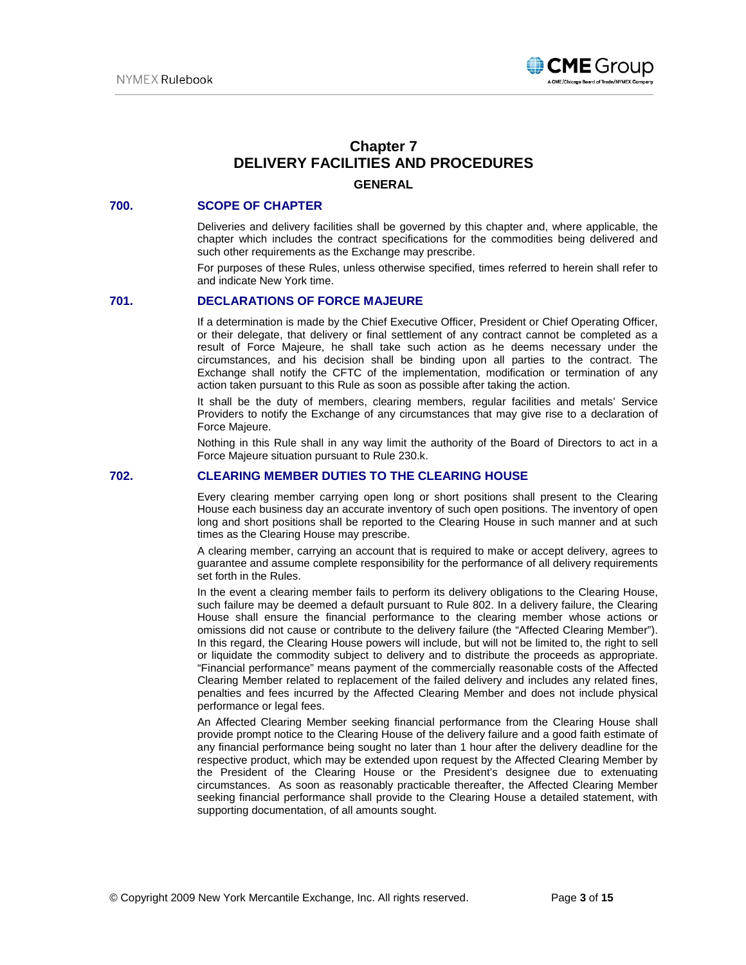

# **Chapter 7 DELIVERY FACILITIES AND PROCEDURES GENERAL**

#### **700. SCOPE OF CHAPTER**

Deliveries and delivery facilities shall be governed by this chapter and, where applicable, the chapter which includes the contract specifications for the commodities being delivered and such other requirements as the Exchange may prescribe.

For purposes of these Rules, unless otherwise specified, times referred to herein shall refer to and indicate New York time.

# **701. DECLARATIONS OF FORCE MAJEURE**

If a determination is made by the Chief Executive Officer, President or Chief Operating Officer, or their delegate, that delivery or final settlement of any contract cannot be completed as a result of Force Majeure, he shall take such action as he deems necessary under the circumstances, and his decision shall be binding upon all parties to the contract. The Exchange shall notify the CFTC of the implementation, modification or termination of any action taken pursuant to this Rule as soon as possible after taking the action.

It shall be the duty of members, clearing members, regular facilities and metals' Service Providers to notify the Exchange of any circumstances that may give rise to a declaration of Force Majeure.

Nothing in this Rule shall in any way limit the authority of the Board of Directors to act in a Force Majeure situation pursuant to Rule 230.k.

## **702. CLEARING MEMBER DUTIES TO THE CLEARING HOUSE**

Every clearing member carrying open long or short positions shall present to the Clearing House each business day an accurate inventory of such open positions. The inventory of open long and short positions shall be reported to the Clearing House in such manner and at such times as the Clearing House may prescribe.

A clearing member, carrying an account that is required to make or accept delivery, agrees to guarantee and assume complete responsibility for the performance of all delivery requirements set forth in the Rules.

In the event a clearing member fails to perform its delivery obligations to the Clearing House, such failure may be deemed a default pursuant to Rule 802. In a delivery failure, the Clearing House shall ensure the financial performance to the clearing member whose actions or omissions did not cause or contribute to the delivery failure (the "Affected Clearing Member"). In this regard, the Clearing House powers will include, but will not be limited to, the right to sell or liquidate the commodity subject to delivery and to distribute the proceeds as appropriate. "Financial performance" means payment of the commercially reasonable costs of the Affected Clearing Member related to replacement of the failed delivery and includes any related fines, penalties and fees incurred by the Affected Clearing Member and does not include physical performance or legal fees.

An Affected Clearing Member seeking financial performance from the Clearing House shall provide prompt notice to the Clearing House of the delivery failure and a good faith estimate of any financial performance being sought no later than 1 hour after the delivery deadline for the respective product, which may be extended upon request by the Affected Clearing Member by the President of the Clearing House or the President's designee due to extenuating circumstances. As soon as reasonably practicable thereafter, the Affected Clearing Member seeking financial performance shall provide to the Clearing House a detailed statement, with supporting documentation, of all amounts sought.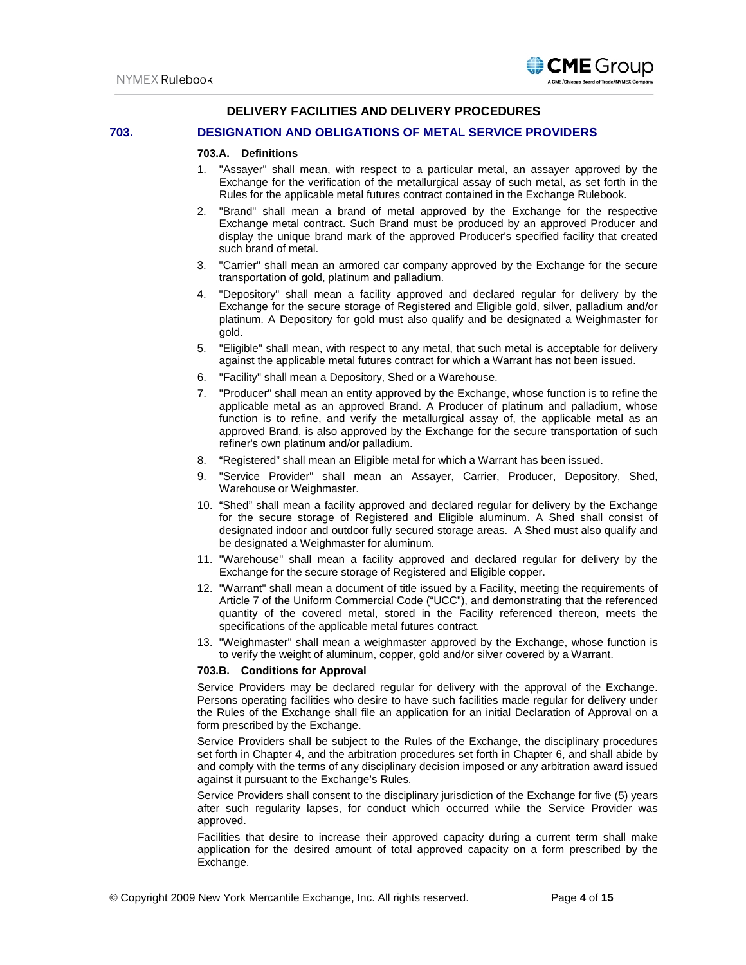# **DELIVERY FACILITIES AND DELIVERY PROCEDURES**

### **703. DESIGNATION AND OBLIGATIONS OF METAL SERVICE PROVIDERS**

#### **703.A. Definitions**

- 1. "Assayer" shall mean, with respect to a particular metal, an assayer approved by the Exchange for the verification of the metallurgical assay of such metal, as set forth in the Rules for the applicable metal futures contract contained in the Exchange Rulebook.
- 2. "Brand" shall mean a brand of metal approved by the Exchange for the respective Exchange metal contract. Such Brand must be produced by an approved Producer and display the unique brand mark of the approved Producer's specified facility that created such brand of metal.
- 3. "Carrier" shall mean an armored car company approved by the Exchange for the secure transportation of gold, platinum and palladium.
- 4. "Depository" shall mean a facility approved and declared regular for delivery by the Exchange for the secure storage of Registered and Eligible gold, silver, palladium and/or platinum. A Depository for gold must also qualify and be designated a Weighmaster for gold.
- 5. "Eligible" shall mean, with respect to any metal, that such metal is acceptable for delivery against the applicable metal futures contract for which a Warrant has not been issued.
- 6. "Facility" shall mean a Depository, Shed or a Warehouse.
- 7. "Producer" shall mean an entity approved by the Exchange, whose function is to refine the applicable metal as an approved Brand. A Producer of platinum and palladium, whose function is to refine, and verify the metallurgical assay of, the applicable metal as an approved Brand, is also approved by the Exchange for the secure transportation of such refiner's own platinum and/or palladium.
- 8. "Registered" shall mean an Eligible metal for which a Warrant has been issued.
- 9. "Service Provider" shall mean an Assayer, Carrier, Producer, Depository, Shed, Warehouse or Weighmaster.
- 10. "Shed" shall mean a facility approved and declared regular for delivery by the Exchange for the secure storage of Registered and Eligible aluminum. A Shed shall consist of designated indoor and outdoor fully secured storage areas. A Shed must also qualify and be designated a Weighmaster for aluminum.
- 11. "Warehouse" shall mean a facility approved and declared regular for delivery by the Exchange for the secure storage of Registered and Eligible copper.
- 12. "Warrant" shall mean a document of title issued by a Facility, meeting the requirements of Article 7 of the Uniform Commercial Code ("UCC"), and demonstrating that the referenced quantity of the covered metal, stored in the Facility referenced thereon, meets the specifications of the applicable metal futures contract.
- 13. "Weighmaster" shall mean a weighmaster approved by the Exchange, whose function is to verify the weight of aluminum, copper, gold and/or silver covered by a Warrant.

#### **703.B. Conditions for Approval**

Service Providers may be declared regular for delivery with the approval of the Exchange. Persons operating facilities who desire to have such facilities made regular for delivery under the Rules of the Exchange shall file an application for an initial Declaration of Approval on a form prescribed by the Exchange.

Service Providers shall be subject to the Rules of the Exchange, the disciplinary procedures set forth in Chapter 4, and the arbitration procedures set forth in Chapter 6, and shall abide by and comply with the terms of any disciplinary decision imposed or any arbitration award issued against it pursuant to the Exchange's Rules.

Service Providers shall consent to the disciplinary jurisdiction of the Exchange for five (5) years after such regularity lapses, for conduct which occurred while the Service Provider was approved.

Facilities that desire to increase their approved capacity during a current term shall make application for the desired amount of total approved capacity on a form prescribed by the Exchange.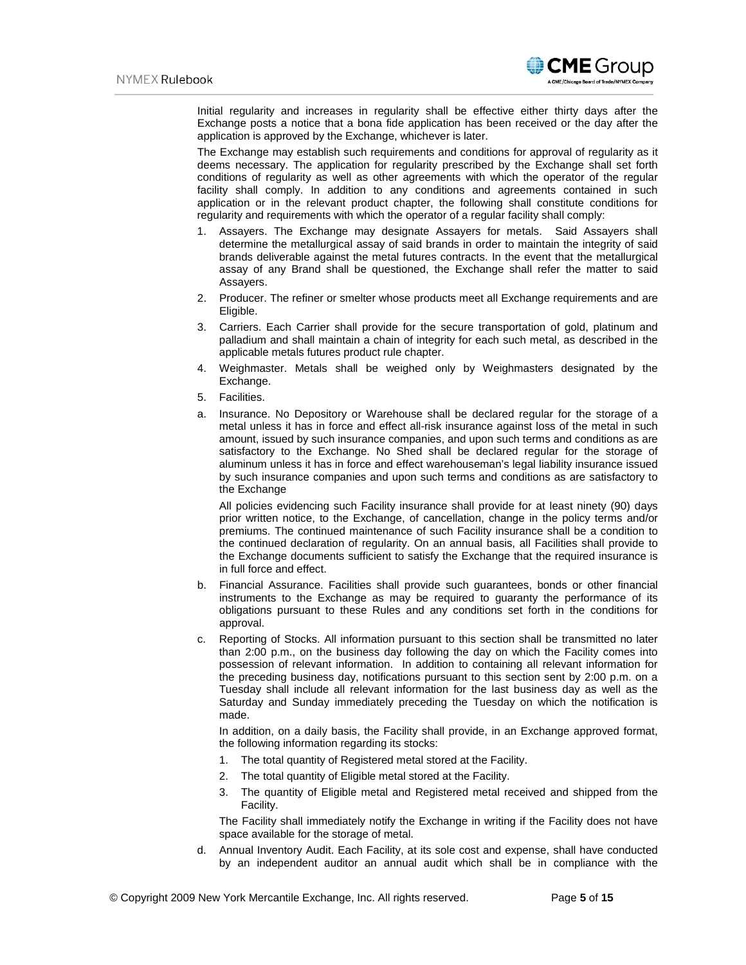

Initial regularity and increases in regularity shall be effective either thirty days after the Exchange posts a notice that a bona fide application has been received or the day after the application is approved by the Exchange, whichever is later.

The Exchange may establish such requirements and conditions for approval of regularity as it deems necessary. The application for regularity prescribed by the Exchange shall set forth conditions of regularity as well as other agreements with which the operator of the regular facility shall comply. In addition to any conditions and agreements contained in such application or in the relevant product chapter, the following shall constitute conditions for regularity and requirements with which the operator of a regular facility shall comply:

- 1. Assayers. The Exchange may designate Assayers for metals. Said Assayers shall determine the metallurgical assay of said brands in order to maintain the integrity of said brands deliverable against the metal futures contracts. In the event that the metallurgical assay of any Brand shall be questioned, the Exchange shall refer the matter to said Assayers.
- 2. Producer. The refiner or smelter whose products meet all Exchange requirements and are Eligible.
- 3. Carriers. Each Carrier shall provide for the secure transportation of gold, platinum and palladium and shall maintain a chain of integrity for each such metal, as described in the applicable metals futures product rule chapter.
- 4. Weighmaster. Metals shall be weighed only by Weighmasters designated by the Exchange.
- 5. Facilities.
- a. Insurance. No Depository or Warehouse shall be declared regular for the storage of a metal unless it has in force and effect all-risk insurance against loss of the metal in such amount, issued by such insurance companies, and upon such terms and conditions as are satisfactory to the Exchange. No Shed shall be declared regular for the storage of aluminum unless it has in force and effect warehouseman's legal liability insurance issued by such insurance companies and upon such terms and conditions as are satisfactory to the Exchange

All policies evidencing such Facility insurance shall provide for at least ninety (90) days prior written notice, to the Exchange, of cancellation, change in the policy terms and/or premiums. The continued maintenance of such Facility insurance shall be a condition to the continued declaration of regularity. On an annual basis, all Facilities shall provide to the Exchange documents sufficient to satisfy the Exchange that the required insurance is in full force and effect.

- b. Financial Assurance. Facilities shall provide such guarantees, bonds or other financial instruments to the Exchange as may be required to guaranty the performance of its obligations pursuant to these Rules and any conditions set forth in the conditions for approval.
- c. Reporting of Stocks. All information pursuant to this section shall be transmitted no later than 2:00 p.m., on the business day following the day on which the Facility comes into possession of relevant information. In addition to containing all relevant information for the preceding business day, notifications pursuant to this section sent by 2:00 p.m. on a Tuesday shall include all relevant information for the last business day as well as the Saturday and Sunday immediately preceding the Tuesday on which the notification is made.

In addition, on a daily basis, the Facility shall provide, in an Exchange approved format, the following information regarding its stocks:

- 1. The total quantity of Registered metal stored at the Facility.
- 2. The total quantity of Eligible metal stored at the Facility.
- 3. The quantity of Eligible metal and Registered metal received and shipped from the Facility.

The Facility shall immediately notify the Exchange in writing if the Facility does not have space available for the storage of metal.

d. Annual Inventory Audit. Each Facility, at its sole cost and expense, shall have conducted by an independent auditor an annual audit which shall be in compliance with the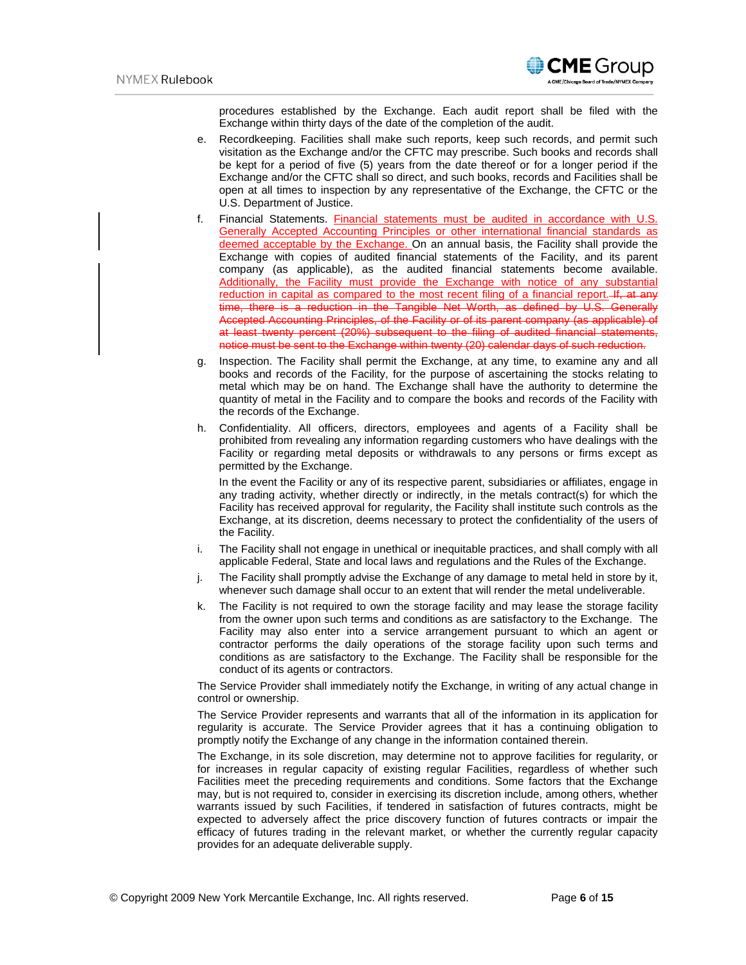**CME** Group

procedures established by the Exchange. Each audit report shall be filed with the Exchange within thirty days of the date of the completion of the audit.

- e. Recordkeeping. Facilities shall make such reports, keep such records, and permit such visitation as the Exchange and/or the CFTC may prescribe. Such books and records shall be kept for a period of five (5) years from the date thereof or for a longer period if the Exchange and/or the CFTC shall so direct, and such books, records and Facilities shall be open at all times to inspection by any representative of the Exchange, the CFTC or the U.S. Department of Justice.
- f. Financial Statements. Financial statements must be audited in accordance with U.S. Generally Accepted Accounting Principles or other international financial standards as deemed acceptable by the Exchange. On an annual basis, the Facility shall provide the Exchange with copies of audited financial statements of the Facility, and its parent company (as applicable), as the audited financial statements become available. Additionally, the Facility must provide the Exchange with notice of any substantial reduction in capital as compared to the most recent filing of a financial report. If, at any time, there is a reduction in the Tangible Net Worth, as defined by U.S. Generally Accepted Accounting Principles, of the Facility or of its parent company (as applicable) of at least twenty percent (20%) subsequent to the filing of audited financial statements, notice must be sent to the Exchange within twenty (20) calendar days of such reduction.
- g. Inspection. The Facility shall permit the Exchange, at any time, to examine any and all books and records of the Facility, for the purpose of ascertaining the stocks relating to metal which may be on hand. The Exchange shall have the authority to determine the quantity of metal in the Facility and to compare the books and records of the Facility with the records of the Exchange.
- h. Confidentiality. All officers, directors, employees and agents of a Facility shall be prohibited from revealing any information regarding customers who have dealings with the Facility or regarding metal deposits or withdrawals to any persons or firms except as permitted by the Exchange.

In the event the Facility or any of its respective parent, subsidiaries or affiliates, engage in any trading activity, whether directly or indirectly, in the metals contract(s) for which the Facility has received approval for regularity, the Facility shall institute such controls as the Exchange, at its discretion, deems necessary to protect the confidentiality of the users of the Facility.

- i. The Facility shall not engage in unethical or inequitable practices, and shall comply with all applicable Federal, State and local laws and regulations and the Rules of the Exchange.
- j. The Facility shall promptly advise the Exchange of any damage to metal held in store by it, whenever such damage shall occur to an extent that will render the metal undeliverable.
- k. The Facility is not required to own the storage facility and may lease the storage facility from the owner upon such terms and conditions as are satisfactory to the Exchange. The Facility may also enter into a service arrangement pursuant to which an agent or contractor performs the daily operations of the storage facility upon such terms and conditions as are satisfactory to the Exchange. The Facility shall be responsible for the conduct of its agents or contractors.

The Service Provider shall immediately notify the Exchange, in writing of any actual change in control or ownership.

The Service Provider represents and warrants that all of the information in its application for regularity is accurate. The Service Provider agrees that it has a continuing obligation to promptly notify the Exchange of any change in the information contained therein.

The Exchange, in its sole discretion, may determine not to approve facilities for regularity, or for increases in regular capacity of existing regular Facilities, regardless of whether such Facilities meet the preceding requirements and conditions. Some factors that the Exchange may, but is not required to, consider in exercising its discretion include, among others, whether warrants issued by such Facilities, if tendered in satisfaction of futures contracts, might be expected to adversely affect the price discovery function of futures contracts or impair the efficacy of futures trading in the relevant market, or whether the currently regular capacity provides for an adequate deliverable supply.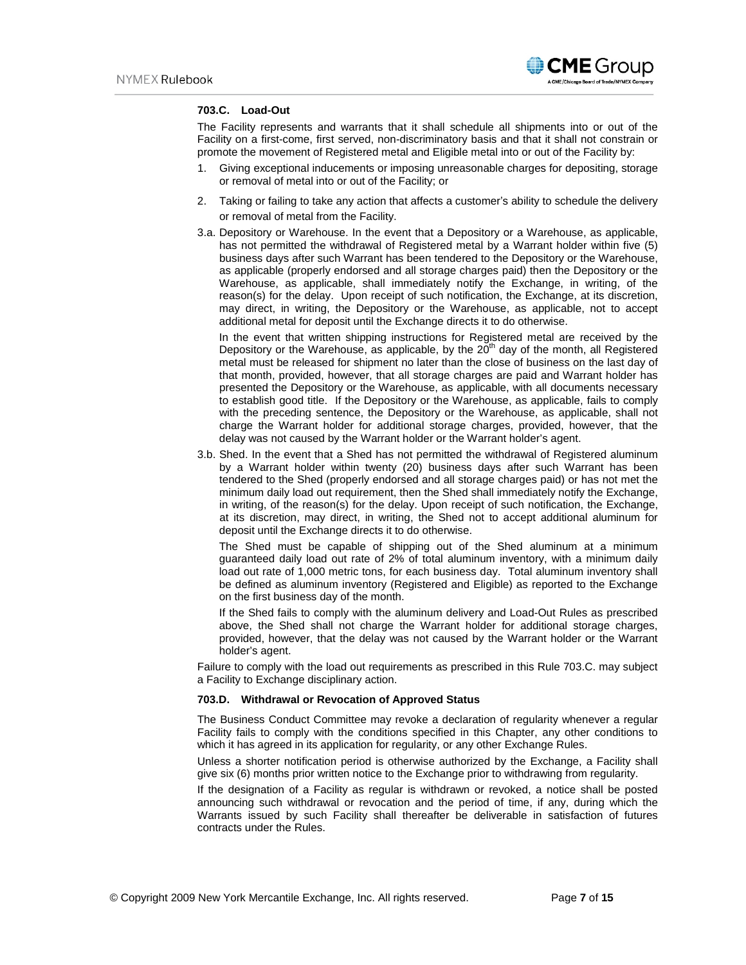

#### **703.C. Load-Out**

The Facility represents and warrants that it shall schedule all shipments into or out of the Facility on a first-come, first served, non-discriminatory basis and that it shall not constrain or promote the movement of Registered metal and Eligible metal into or out of the Facility by:

- 1. Giving exceptional inducements or imposing unreasonable charges for depositing, storage or removal of metal into or out of the Facility; or
- 2. Taking or failing to take any action that affects a customer's ability to schedule the delivery or removal of metal from the Facility.
- 3.a. Depository or Warehouse. In the event that a Depository or a Warehouse, as applicable, has not permitted the withdrawal of Registered metal by a Warrant holder within five (5) business days after such Warrant has been tendered to the Depository or the Warehouse, as applicable (properly endorsed and all storage charges paid) then the Depository or the Warehouse, as applicable, shall immediately notify the Exchange, in writing, of the reason(s) for the delay. Upon receipt of such notification, the Exchange, at its discretion, may direct, in writing, the Depository or the Warehouse, as applicable, not to accept additional metal for deposit until the Exchange directs it to do otherwise.

In the event that written shipping instructions for Registered metal are received by the Depository or the Warehouse, as applicable, by the  $20<sup>th</sup>$  day of the month, all Registered metal must be released for shipment no later than the close of business on the last day of that month, provided, however, that all storage charges are paid and Warrant holder has presented the Depository or the Warehouse, as applicable, with all documents necessary to establish good title. If the Depository or the Warehouse, as applicable, fails to comply with the preceding sentence, the Depository or the Warehouse, as applicable, shall not charge the Warrant holder for additional storage charges, provided, however, that the delay was not caused by the Warrant holder or the Warrant holder's agent.

3.b. Shed. In the event that a Shed has not permitted the withdrawal of Registered aluminum by a Warrant holder within twenty (20) business days after such Warrant has been tendered to the Shed (properly endorsed and all storage charges paid) or has not met the minimum daily load out requirement, then the Shed shall immediately notify the Exchange, in writing, of the reason(s) for the delay. Upon receipt of such notification, the Exchange, at its discretion, may direct, in writing, the Shed not to accept additional aluminum for deposit until the Exchange directs it to do otherwise.

The Shed must be capable of shipping out of the Shed aluminum at a minimum guaranteed daily load out rate of 2% of total aluminum inventory, with a minimum daily load out rate of 1,000 metric tons, for each business day. Total aluminum inventory shall be defined as aluminum inventory (Registered and Eligible) as reported to the Exchange on the first business day of the month.

If the Shed fails to comply with the aluminum delivery and Load-Out Rules as prescribed above, the Shed shall not charge the Warrant holder for additional storage charges, provided, however, that the delay was not caused by the Warrant holder or the Warrant holder's agent.

Failure to comply with the load out requirements as prescribed in this Rule 703.C. may subject a Facility to Exchange disciplinary action.

#### **703.D. Withdrawal or Revocation of Approved Status**

The Business Conduct Committee may revoke a declaration of regularity whenever a regular Facility fails to comply with the conditions specified in this Chapter, any other conditions to which it has agreed in its application for regularity, or any other Exchange Rules.

Unless a shorter notification period is otherwise authorized by the Exchange, a Facility shall give six (6) months prior written notice to the Exchange prior to withdrawing from regularity.

If the designation of a Facility as regular is withdrawn or revoked, a notice shall be posted announcing such withdrawal or revocation and the period of time, if any, during which the Warrants issued by such Facility shall thereafter be deliverable in satisfaction of futures contracts under the Rules.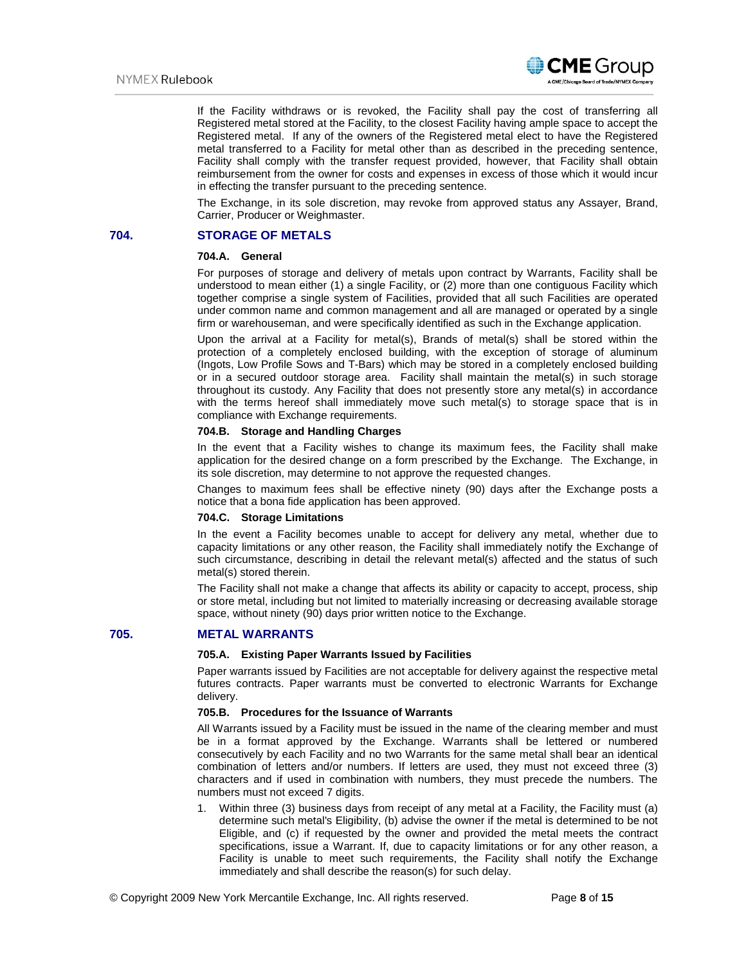

If the Facility withdraws or is revoked, the Facility shall pay the cost of transferring all Registered metal stored at the Facility, to the closest Facility having ample space to accept the Registered metal. If any of the owners of the Registered metal elect to have the Registered metal transferred to a Facility for metal other than as described in the preceding sentence, Facility shall comply with the transfer request provided, however, that Facility shall obtain reimbursement from the owner for costs and expenses in excess of those which it would incur in effecting the transfer pursuant to the preceding sentence.

The Exchange, in its sole discretion, may revoke from approved status any Assayer, Brand, Carrier, Producer or Weighmaster.

# **704. STORAGE OF METALS**

# **704.A. General**

For purposes of storage and delivery of metals upon contract by Warrants, Facility shall be understood to mean either (1) a single Facility, or (2) more than one contiguous Facility which together comprise a single system of Facilities, provided that all such Facilities are operated under common name and common management and all are managed or operated by a single firm or warehouseman, and were specifically identified as such in the Exchange application.

Upon the arrival at a Facility for metal(s), Brands of metal(s) shall be stored within the protection of a completely enclosed building, with the exception of storage of aluminum (Ingots, Low Profile Sows and T-Bars) which may be stored in a completely enclosed building or in a secured outdoor storage area. Facility shall maintain the metal(s) in such storage throughout its custody. Any Facility that does not presently store any metal(s) in accordance with the terms hereof shall immediately move such metal(s) to storage space that is in compliance with Exchange requirements.

#### **704.B. Storage and Handling Charges**

In the event that a Facility wishes to change its maximum fees, the Facility shall make application for the desired change on a form prescribed by the Exchange. The Exchange, in its sole discretion, may determine to not approve the requested changes.

Changes to maximum fees shall be effective ninety (90) days after the Exchange posts a notice that a bona fide application has been approved.

### **704.C. Storage Limitations**

In the event a Facility becomes unable to accept for delivery any metal, whether due to capacity limitations or any other reason, the Facility shall immediately notify the Exchange of such circumstance, describing in detail the relevant metal(s) affected and the status of such metal(s) stored therein.

The Facility shall not make a change that affects its ability or capacity to accept, process, ship or store metal, including but not limited to materially increasing or decreasing available storage space, without ninety (90) days prior written notice to the Exchange.

#### **705. METAL WARRANTS**

#### **705.A. Existing Paper Warrants Issued by Facilities**

Paper warrants issued by Facilities are not acceptable for delivery against the respective metal futures contracts. Paper warrants must be converted to electronic Warrants for Exchange delivery.

# **705.B. Procedures for the Issuance of Warrants**

All Warrants issued by a Facility must be issued in the name of the clearing member and must be in a format approved by the Exchange. Warrants shall be lettered or numbered consecutively by each Facility and no two Warrants for the same metal shall bear an identical combination of letters and/or numbers. If letters are used, they must not exceed three (3) characters and if used in combination with numbers, they must precede the numbers. The numbers must not exceed 7 digits.

1. Within three (3) business days from receipt of any metal at a Facility, the Facility must (a) determine such metal's Eligibility, (b) advise the owner if the metal is determined to be not Eligible, and (c) if requested by the owner and provided the metal meets the contract specifications, issue a Warrant. If, due to capacity limitations or for any other reason, a Facility is unable to meet such requirements, the Facility shall notify the Exchange immediately and shall describe the reason(s) for such delay.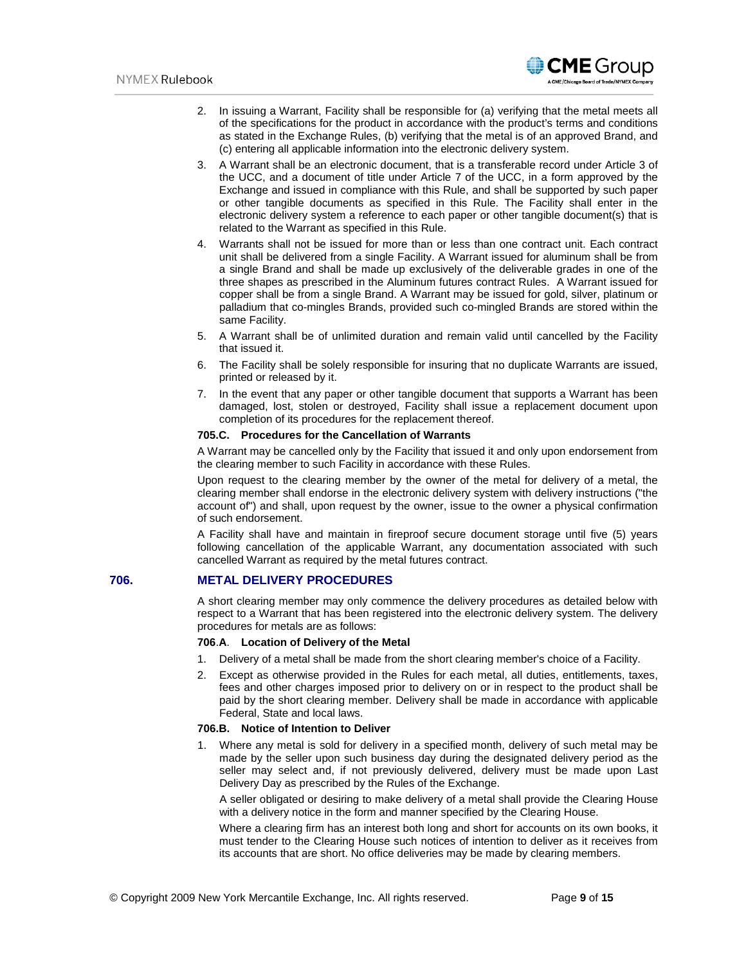

- 2. In issuing a Warrant, Facility shall be responsible for (a) verifying that the metal meets all of the specifications for the product in accordance with the product's terms and conditions as stated in the Exchange Rules, (b) verifying that the metal is of an approved Brand, and (c) entering all applicable information into the electronic delivery system.
- 3. A Warrant shall be an electronic document, that is a transferable record under Article 3 of the UCC, and a document of title under Article 7 of the UCC, in a form approved by the Exchange and issued in compliance with this Rule, and shall be supported by such paper or other tangible documents as specified in this Rule. The Facility shall enter in the electronic delivery system a reference to each paper or other tangible document(s) that is related to the Warrant as specified in this Rule.
- 4. Warrants shall not be issued for more than or less than one contract unit. Each contract unit shall be delivered from a single Facility. A Warrant issued for aluminum shall be from a single Brand and shall be made up exclusively of the deliverable grades in one of the three shapes as prescribed in the Aluminum futures contract Rules. A Warrant issued for copper shall be from a single Brand. A Warrant may be issued for gold, silver, platinum or palladium that co-mingles Brands, provided such co-mingled Brands are stored within the same Facility.
- 5. A Warrant shall be of unlimited duration and remain valid until cancelled by the Facility that issued it.
- 6. The Facility shall be solely responsible for insuring that no duplicate Warrants are issued, printed or released by it.
- 7. In the event that any paper or other tangible document that supports a Warrant has been damaged, lost, stolen or destroyed, Facility shall issue a replacement document upon completion of its procedures for the replacement thereof.

#### **705.C. Procedures for the Cancellation of Warrants**

A Warrant may be cancelled only by the Facility that issued it and only upon endorsement from the clearing member to such Facility in accordance with these Rules.

Upon request to the clearing member by the owner of the metal for delivery of a metal, the clearing member shall endorse in the electronic delivery system with delivery instructions ("the account of") and shall, upon request by the owner, issue to the owner a physical confirmation of such endorsement.

A Facility shall have and maintain in fireproof secure document storage until five (5) years following cancellation of the applicable Warrant, any documentation associated with such cancelled Warrant as required by the metal futures contract.

# **706. METAL DELIVERY PROCEDURES**

A short clearing member may only commence the delivery procedures as detailed below with respect to a Warrant that has been registered into the electronic delivery system. The delivery procedures for metals are as follows:

### **706**.**A**. **Location of Delivery of the Metal**

- 1. Delivery of a metal shall be made from the short clearing member's choice of a Facility.
- 2. Except as otherwise provided in the Rules for each metal, all duties, entitlements, taxes, fees and other charges imposed prior to delivery on or in respect to the product shall be paid by the short clearing member. Delivery shall be made in accordance with applicable Federal, State and local laws.

#### **706.B. Notice of Intention to Deliver**

1. Where any metal is sold for delivery in a specified month, delivery of such metal may be made by the seller upon such business day during the designated delivery period as the seller may select and, if not previously delivered, delivery must be made upon Last Delivery Day as prescribed by the Rules of the Exchange.

A seller obligated or desiring to make delivery of a metal shall provide the Clearing House with a delivery notice in the form and manner specified by the Clearing House.

Where a clearing firm has an interest both long and short for accounts on its own books, it must tender to the Clearing House such notices of intention to deliver as it receives from its accounts that are short. No office deliveries may be made by clearing members.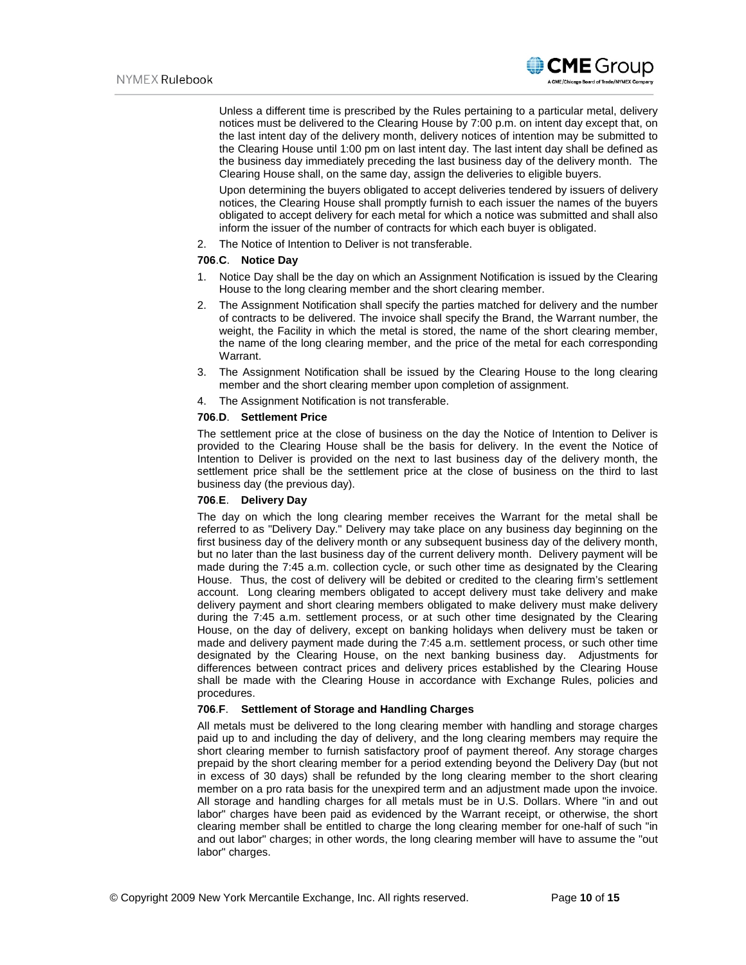

Unless a different time is prescribed by the Rules pertaining to a particular metal, delivery notices must be delivered to the Clearing House by 7:00 p.m. on intent day except that, on the last intent day of the delivery month, delivery notices of intention may be submitted to the Clearing House until 1:00 pm on last intent day. The last intent day shall be defined as the business day immediately preceding the last business day of the delivery month. The Clearing House shall, on the same day, assign the deliveries to eligible buyers.

Upon determining the buyers obligated to accept deliveries tendered by issuers of delivery notices, the Clearing House shall promptly furnish to each issuer the names of the buyers obligated to accept delivery for each metal for which a notice was submitted and shall also inform the issuer of the number of contracts for which each buyer is obligated.

2. The Notice of Intention to Deliver is not transferable.

#### **706**.**C**. **Notice Day**

- 1. Notice Day shall be the day on which an Assignment Notification is issued by the Clearing House to the long clearing member and the short clearing member.
- 2. The Assignment Notification shall specify the parties matched for delivery and the number of contracts to be delivered. The invoice shall specify the Brand, the Warrant number, the weight, the Facility in which the metal is stored, the name of the short clearing member, the name of the long clearing member, and the price of the metal for each corresponding Warrant.
- 3. The Assignment Notification shall be issued by the Clearing House to the long clearing member and the short clearing member upon completion of assignment.
- 4. The Assignment Notification is not transferable.

#### **706**.**D**. **Settlement Price**

The settlement price at the close of business on the day the Notice of Intention to Deliver is provided to the Clearing House shall be the basis for delivery. In the event the Notice of Intention to Deliver is provided on the next to last business day of the delivery month, the settlement price shall be the settlement price at the close of business on the third to last business day (the previous day).

### **706**.**E**. **Delivery Day**

The day on which the long clearing member receives the Warrant for the metal shall be referred to as "Delivery Day." Delivery may take place on any business day beginning on the first business day of the delivery month or any subsequent business day of the delivery month, but no later than the last business day of the current delivery month. Delivery payment will be made during the 7:45 a.m. collection cycle, or such other time as designated by the Clearing House. Thus, the cost of delivery will be debited or credited to the clearing firm's settlement account. Long clearing members obligated to accept delivery must take delivery and make delivery payment and short clearing members obligated to make delivery must make delivery during the 7:45 a.m. settlement process, or at such other time designated by the Clearing House, on the day of delivery, except on banking holidays when delivery must be taken or made and delivery payment made during the 7:45 a.m. settlement process, or such other time designated by the Clearing House, on the next banking business day. Adjustments for differences between contract prices and delivery prices established by the Clearing House shall be made with the Clearing House in accordance with Exchange Rules, policies and procedures.

### **706**.**F**. **Settlement of Storage and Handling Charges**

All metals must be delivered to the long clearing member with handling and storage charges paid up to and including the day of delivery, and the long clearing members may require the short clearing member to furnish satisfactory proof of payment thereof. Any storage charges prepaid by the short clearing member for a period extending beyond the Delivery Day (but not in excess of 30 days) shall be refunded by the long clearing member to the short clearing member on a pro rata basis for the unexpired term and an adjustment made upon the invoice. All storage and handling charges for all metals must be in U.S. Dollars. Where "in and out labor" charges have been paid as evidenced by the Warrant receipt, or otherwise, the short clearing member shall be entitled to charge the long clearing member for one-half of such "in and out labor" charges; in other words, the long clearing member will have to assume the "out labor" charges.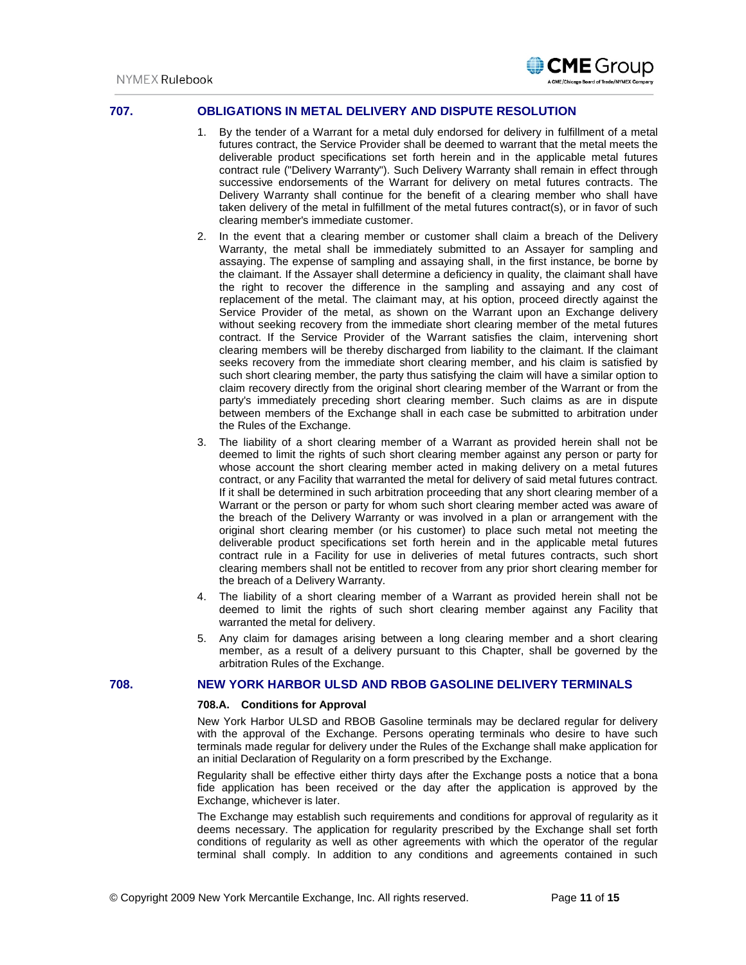

# **707. OBLIGATIONS IN METAL DELIVERY AND DISPUTE RESOLUTION**

- 1. By the tender of a Warrant for a metal duly endorsed for delivery in fulfillment of a metal futures contract, the Service Provider shall be deemed to warrant that the metal meets the deliverable product specifications set forth herein and in the applicable metal futures contract rule ("Delivery Warranty"). Such Delivery Warranty shall remain in effect through successive endorsements of the Warrant for delivery on metal futures contracts. The Delivery Warranty shall continue for the benefit of a clearing member who shall have taken delivery of the metal in fulfillment of the metal futures contract(s), or in favor of such clearing member's immediate customer.
- 2. In the event that a clearing member or customer shall claim a breach of the Delivery Warranty, the metal shall be immediately submitted to an Assayer for sampling and assaying. The expense of sampling and assaying shall, in the first instance, be borne by the claimant. If the Assayer shall determine a deficiency in quality, the claimant shall have the right to recover the difference in the sampling and assaying and any cost of replacement of the metal. The claimant may, at his option, proceed directly against the Service Provider of the metal, as shown on the Warrant upon an Exchange delivery without seeking recovery from the immediate short clearing member of the metal futures contract. If the Service Provider of the Warrant satisfies the claim, intervening short clearing members will be thereby discharged from liability to the claimant. If the claimant seeks recovery from the immediate short clearing member, and his claim is satisfied by such short clearing member, the party thus satisfying the claim will have a similar option to claim recovery directly from the original short clearing member of the Warrant or from the party's immediately preceding short clearing member. Such claims as are in dispute between members of the Exchange shall in each case be submitted to arbitration under the Rules of the Exchange.
- 3. The liability of a short clearing member of a Warrant as provided herein shall not be deemed to limit the rights of such short clearing member against any person or party for whose account the short clearing member acted in making delivery on a metal futures contract, or any Facility that warranted the metal for delivery of said metal futures contract. If it shall be determined in such arbitration proceeding that any short clearing member of a Warrant or the person or party for whom such short clearing member acted was aware of the breach of the Delivery Warranty or was involved in a plan or arrangement with the original short clearing member (or his customer) to place such metal not meeting the deliverable product specifications set forth herein and in the applicable metal futures contract rule in a Facility for use in deliveries of metal futures contracts, such short clearing members shall not be entitled to recover from any prior short clearing member for the breach of a Delivery Warranty.
- 4. The liability of a short clearing member of a Warrant as provided herein shall not be deemed to limit the rights of such short clearing member against any Facility that warranted the metal for delivery.
- 5. Any claim for damages arising between a long clearing member and a short clearing member, as a result of a delivery pursuant to this Chapter, shall be governed by the arbitration Rules of the Exchange.

# **708. NEW YORK HARBOR ULSD AND RBOB GASOLINE DELIVERY TERMINALS**

#### **708.A. Conditions for Approval**

New York Harbor ULSD and RBOB Gasoline terminals may be declared regular for delivery with the approval of the Exchange. Persons operating terminals who desire to have such terminals made regular for delivery under the Rules of the Exchange shall make application for an initial Declaration of Regularity on a form prescribed by the Exchange.

Regularity shall be effective either thirty days after the Exchange posts a notice that a bona fide application has been received or the day after the application is approved by the Exchange, whichever is later.

The Exchange may establish such requirements and conditions for approval of regularity as it deems necessary. The application for regularity prescribed by the Exchange shall set forth conditions of regularity as well as other agreements with which the operator of the regular terminal shall comply. In addition to any conditions and agreements contained in such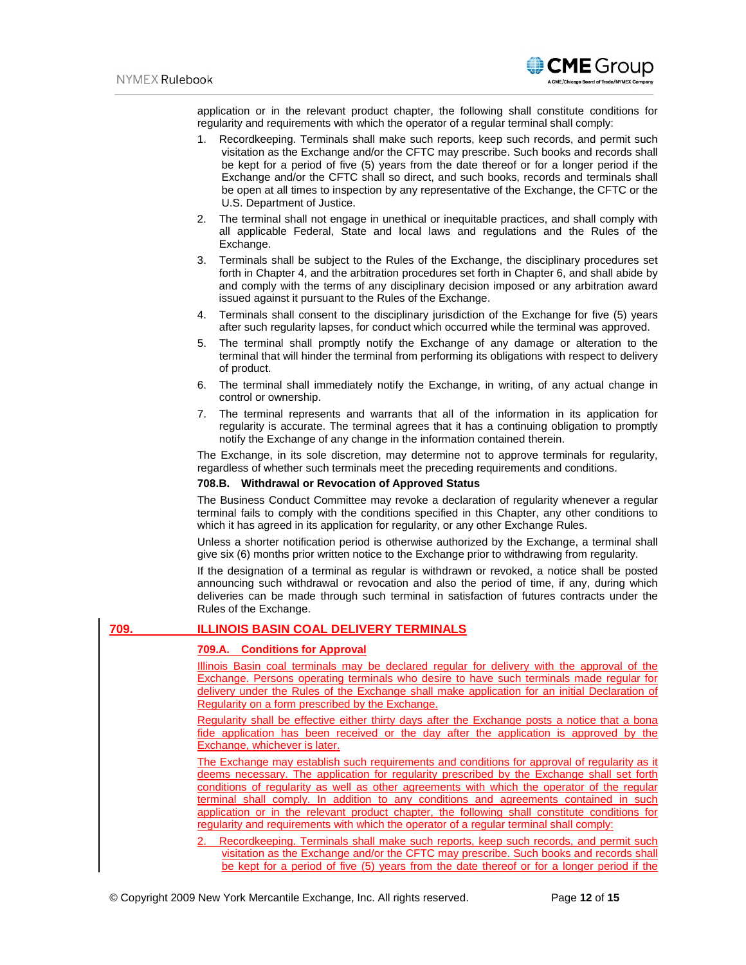

application or in the relevant product chapter, the following shall constitute conditions for regularity and requirements with which the operator of a regular terminal shall comply:

- 1. Recordkeeping. Terminals shall make such reports, keep such records, and permit such visitation as the Exchange and/or the CFTC may prescribe. Such books and records shall be kept for a period of five (5) years from the date thereof or for a longer period if the Exchange and/or the CFTC shall so direct, and such books, records and terminals shall be open at all times to inspection by any representative of the Exchange, the CFTC or the U.S. Department of Justice.
- 2. The terminal shall not engage in unethical or inequitable practices, and shall comply with all applicable Federal, State and local laws and regulations and the Rules of the Exchange.
- 3. Terminals shall be subject to the Rules of the Exchange, the disciplinary procedures set forth in Chapter 4, and the arbitration procedures set forth in Chapter 6, and shall abide by and comply with the terms of any disciplinary decision imposed or any arbitration award issued against it pursuant to the Rules of the Exchange.
- 4. Terminals shall consent to the disciplinary jurisdiction of the Exchange for five (5) years after such regularity lapses, for conduct which occurred while the terminal was approved.
- 5. The terminal shall promptly notify the Exchange of any damage or alteration to the terminal that will hinder the terminal from performing its obligations with respect to delivery of product.
- 6. The terminal shall immediately notify the Exchange, in writing, of any actual change in control or ownership.
- 7. The terminal represents and warrants that all of the information in its application for regularity is accurate. The terminal agrees that it has a continuing obligation to promptly notify the Exchange of any change in the information contained therein.

The Exchange, in its sole discretion, may determine not to approve terminals for regularity, regardless of whether such terminals meet the preceding requirements and conditions.

#### **708.B. Withdrawal or Revocation of Approved Status**

The Business Conduct Committee may revoke a declaration of regularity whenever a regular terminal fails to comply with the conditions specified in this Chapter, any other conditions to which it has agreed in its application for regularity, or any other Exchange Rules.

Unless a shorter notification period is otherwise authorized by the Exchange, a terminal shall give six (6) months prior written notice to the Exchange prior to withdrawing from regularity.

If the designation of a terminal as regular is withdrawn or revoked, a notice shall be posted announcing such withdrawal or revocation and also the period of time, if any, during which deliveries can be made through such terminal in satisfaction of futures contracts under the Rules of the Exchange.

# **709. ILLINOIS BASIN COAL DELIVERY TERMINALS**

# **709.A. Conditions for Approval**

Illinois Basin coal terminals may be declared regular for delivery with the approval of the Exchange. Persons operating terminals who desire to have such terminals made regular for delivery under the Rules of the Exchange shall make application for an initial Declaration of Regularity on a form prescribed by the Exchange.

Regularity shall be effective either thirty days after the Exchange posts a notice that a bona fide application has been received or the day after the application is approved by the Exchange, whichever is later.

The Exchange may establish such requirements and conditions for approval of regularity as it deems necessary. The application for regularity prescribed by the Exchange shall set forth conditions of regularity as well as other agreements with which the operator of the regular terminal shall comply. In addition to any conditions and agreements contained in such application or in the relevant product chapter, the following shall constitute conditions for regularity and requirements with which the operator of a regular terminal shall comply:

2. Recordkeeping. Terminals shall make such reports, keep such records, and permit such visitation as the Exchange and/or the CFTC may prescribe. Such books and records shall be kept for a period of five (5) years from the date thereof or for a longer period if the

© Copyright 2009 New York Mercantile Exchange, Inc. All rights reserved. Page **12** of **15**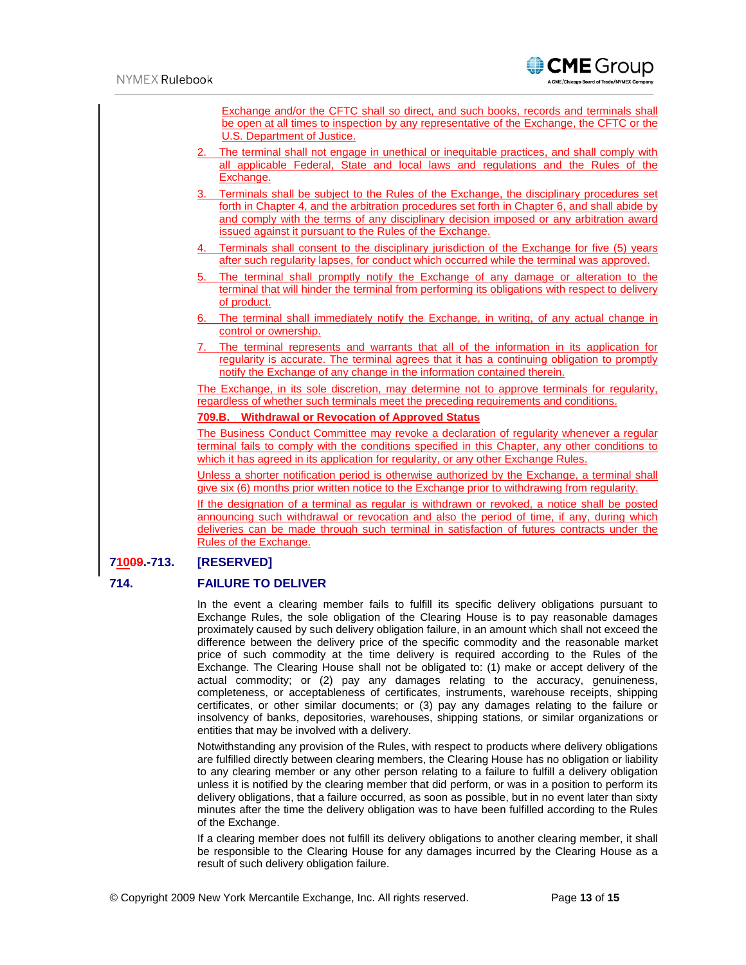|             | <b>Exchange and/or the CFTC shall so direct, and such books, records and terminals shall</b><br>be open at all times to inspection by any representative of the Exchange, the CFTC or the<br>U.S. Department of Justice.                                                                                                                            |
|-------------|-----------------------------------------------------------------------------------------------------------------------------------------------------------------------------------------------------------------------------------------------------------------------------------------------------------------------------------------------------|
|             | 2. The terminal shall not engage in unethical or inequitable practices, and shall comply with<br>all applicable Federal, State and local laws and regulations and the Rules of the<br>Exchange.                                                                                                                                                     |
|             | 3. Terminals shall be subject to the Rules of the Exchange, the disciplinary procedures set<br>forth in Chapter 4, and the arbitration procedures set forth in Chapter 6, and shall abide by<br>and comply with the terms of any disciplinary decision imposed or any arbitration award<br>issued against it pursuant to the Rules of the Exchange. |
|             | 4. Terminals shall consent to the disciplinary jurisdiction of the Exchange for five (5) years<br>after such regularity lapses, for conduct which occurred while the terminal was approved.                                                                                                                                                         |
|             | 5. The terminal shall promptly notify the Exchange of any damage or alteration to the<br>terminal that will hinder the terminal from performing its obligations with respect to delivery<br>of product.                                                                                                                                             |
|             | 6. The terminal shall immediately notify the Exchange, in writing, of any actual change in<br>control or ownership.                                                                                                                                                                                                                                 |
|             | 7. The terminal represents and warrants that all of the information in its application for<br>regularity is accurate. The terminal agrees that it has a continuing obligation to promptly<br>notify the Exchange of any change in the information contained therein.                                                                                |
|             | The Exchange, in its sole discretion, may determine not to approve terminals for regularity,<br>regardless of whether such terminals meet the preceding requirements and conditions.                                                                                                                                                                |
|             | 709.B. Withdrawal or Revocation of Approved Status                                                                                                                                                                                                                                                                                                  |
|             | The Business Conduct Committee may revoke a declaration of regularity whenever a regular<br>terminal fails to comply with the conditions specified in this Chapter, any other conditions to<br>which it has agreed in its application for regularity, or any other Exchange Rules.                                                                  |
|             | Unless a shorter notification period is otherwise authorized by the Exchange, a terminal shall<br>give six (6) months prior written notice to the Exchange prior to withdrawing from regularity.                                                                                                                                                    |
|             | If the designation of a terminal as regular is withdrawn or revoked, a notice shall be posted<br>announcing such withdrawal or revocation and also the period of time, if any, during which<br>deliveries can be made through such terminal in satisfaction of futures contracts under the<br>Rules of the Exchange.                                |
| 71009.-713. | [RESERVED]                                                                                                                                                                                                                                                                                                                                          |

# **714. FAILURE TO DELIVER**

In the event a clearing member fails to fulfill its specific delivery obligations pursuant to Exchange Rules, the sole obligation of the Clearing House is to pay reasonable damages proximately caused by such delivery obligation failure, in an amount which shall not exceed the difference between the delivery price of the specific commodity and the reasonable market price of such commodity at the time delivery is required according to the Rules of the Exchange. The Clearing House shall not be obligated to: (1) make or accept delivery of the actual commodity; or (2) pay any damages relating to the accuracy, genuineness, completeness, or acceptableness of certificates, instruments, warehouse receipts, shipping certificates, or other similar documents; or (3) pay any damages relating to the failure or insolvency of banks, depositories, warehouses, shipping stations, or similar organizations or entities that may be involved with a delivery.

Notwithstanding any provision of the Rules, with respect to products where delivery obligations are fulfilled directly between clearing members, the Clearing House has no obligation or liability to any clearing member or any other person relating to a failure to fulfill a delivery obligation unless it is notified by the clearing member that did perform, or was in a position to perform its delivery obligations, that a failure occurred, as soon as possible, but in no event later than sixty minutes after the time the delivery obligation was to have been fulfilled according to the Rules of the Exchange.

If a clearing member does not fulfill its delivery obligations to another clearing member, it shall be responsible to the Clearing House for any damages incurred by the Clearing House as a result of such delivery obligation failure.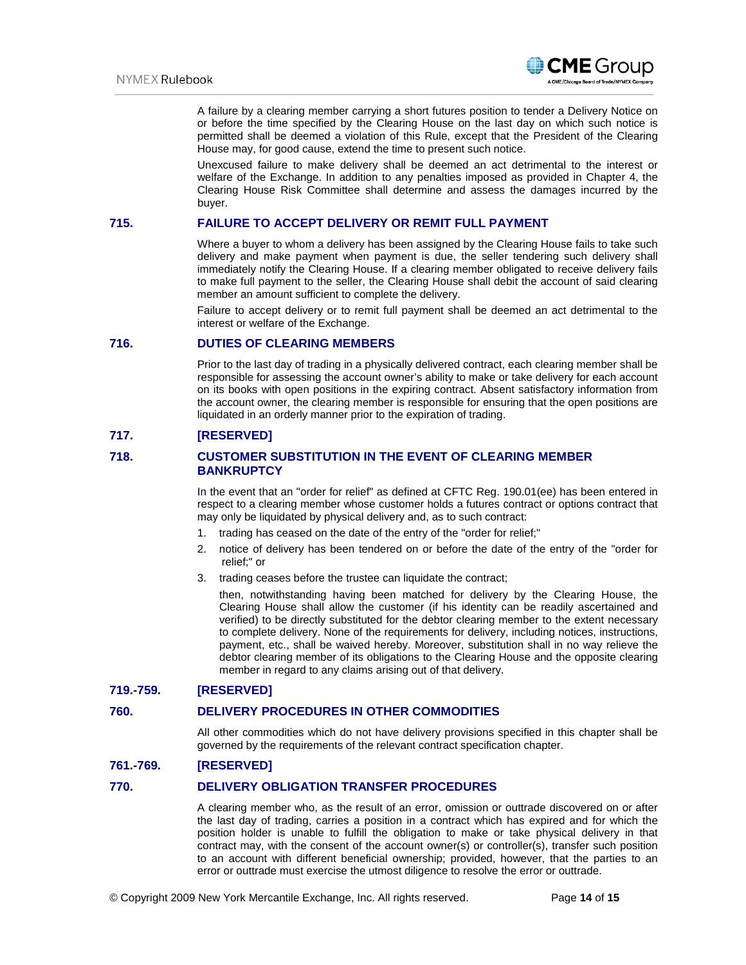

A failure by a clearing member carrying a short futures position to tender a Delivery Notice on or before the time specified by the Clearing House on the last day on which such notice is permitted shall be deemed a violation of this Rule, except that the President of the Clearing House may, for good cause, extend the time to present such notice.

Unexcused failure to make delivery shall be deemed an act detrimental to the interest or welfare of the Exchange. In addition to any penalties imposed as provided in Chapter 4, the Clearing House Risk Committee shall determine and assess the damages incurred by the buyer.

# **715. FAILURE TO ACCEPT DELIVERY OR REMIT FULL PAYMENT**

Where a buyer to whom a delivery has been assigned by the Clearing House fails to take such delivery and make payment when payment is due, the seller tendering such delivery shall immediately notify the Clearing House. If a clearing member obligated to receive delivery fails to make full payment to the seller, the Clearing House shall debit the account of said clearing member an amount sufficient to complete the delivery.

Failure to accept delivery or to remit full payment shall be deemed an act detrimental to the interest or welfare of the Exchange.

## **716. DUTIES OF CLEARING MEMBERS**

Prior to the last day of trading in a physically delivered contract, each clearing member shall be responsible for assessing the account owner's ability to make or take delivery for each account on its books with open positions in the expiring contract. Absent satisfactory information from the account owner, the clearing member is responsible for ensuring that the open positions are liquidated in an orderly manner prior to the expiration of trading.

# **717. [RESERVED]**

# **718. CUSTOMER SUBSTITUTION IN THE EVENT OF CLEARING MEMBER BANKRUPTCY**

In the event that an "order for relief" as defined at CFTC Reg. 190.01(ee) has been entered in respect to a clearing member whose customer holds a futures contract or options contract that may only be liquidated by physical delivery and, as to such contract:

- 1. trading has ceased on the date of the entry of the "order for relief;"
- 2. notice of delivery has been tendered on or before the date of the entry of the "order for relief;" or
- 3. trading ceases before the trustee can liquidate the contract;

then, notwithstanding having been matched for delivery by the Clearing House, the Clearing House shall allow the customer (if his identity can be readily ascertained and verified) to be directly substituted for the debtor clearing member to the extent necessary to complete delivery. None of the requirements for delivery, including notices, instructions, payment, etc., shall be waived hereby. Moreover, substitution shall in no way relieve the debtor clearing member of its obligations to the Clearing House and the opposite clearing member in regard to any claims arising out of that delivery.

# **719.-759. [RESERVED]**

### **760. DELIVERY PROCEDURES IN OTHER COMMODITIES**

All other commodities which do not have delivery provisions specified in this chapter shall be governed by the requirements of the relevant contract specification chapter.

### **761.-769. [RESERVED]**

### **770. DELIVERY OBLIGATION TRANSFER PROCEDURES**

A clearing member who, as the result of an error, omission or outtrade discovered on or after the last day of trading, carries a position in a contract which has expired and for which the position holder is unable to fulfill the obligation to make or take physical delivery in that contract may, with the consent of the account owner(s) or controller(s), transfer such position to an account with different beneficial ownership; provided, however, that the parties to an error or outtrade must exercise the utmost diligence to resolve the error or outtrade.

© Copyright 2009 New York Mercantile Exchange, Inc. All rights reserved. Page **14** of **15**